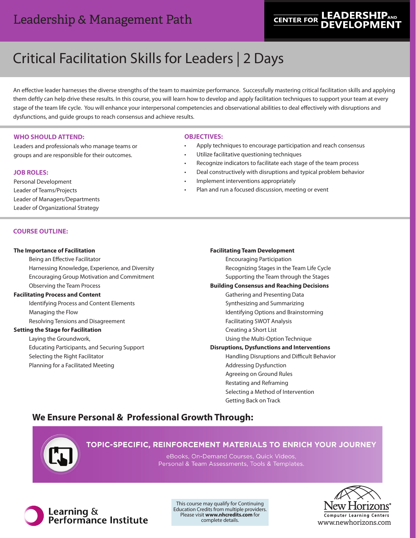# Leadership & Management Path

# **LEADERSHIPAND CENTER FOR**

# Critical Facilitation Skills for Leaders | 2 Days

An effective leader harnesses the diverse strengths of the team to maximize performance. Successfully mastering critical facilitation skills and applying them deftly can help drive these results. In this course, you will learn how to develop and apply facilitation techniques to support your team at every stage of the team life cycle. You will enhance your interpersonal competencies and observational abilities to deal effectively with disruptions and dysfunctions, and guide groups to reach consensus and achieve results.

#### **WHO SHOULD ATTEND:**

Leaders and professionals who manage teams or groups and are responsible for their outcomes.

#### **JOB ROLES:**

Personal Development Leader of Teams/Projects Leader of Managers/Departments Leader of Organizational Strategy

### **COURSE OUTLINE:**

#### **The Importance of Facilitation**

Being an Effective Facilitator Harnessing Knowledge, Experience, and Diversity Encouraging Group Motivation and Commitment Observing the Team Process **Facilitating Process and Content**

Identifying Process and Content Elements Managing the Flow Resolving Tensions and Disagreement

#### **Setting the Stage for Facilitation**

Laying the Groundwork, Educating Participants, and Securing Support Selecting the Right Facilitator Planning for a Facilitated Meeting

#### **OBJECTIVES:**

- Apply techniques to encourage participation and reach consensus
- Utilize facilitative questioning techniques
- Recognize indicators to facilitate each stage of the team process
- Deal constructively with disruptions and typical problem behavior
- Implement interventions appropriately
- Plan and run a focused discussion, meeting or event

#### **Facilitating Team Development**

Encouraging Participation Recognizing Stages in the Team Life Cycle Supporting the Team through the Stages **Building Consensus and Reaching Decisions**

- Gathering and Presenting Data
- Synthesizing and Summarizing
	- Identifying Options and Brainstorming
	- Facilitating SWOT Analysis Creating a Short List
	- Using the Multi-Option Technique

**Disruptions, Dysfunctions and Interventions**

Handling Disruptions and Difficult Behavior Addressing Dysfunction Agreeing on Ground Rules Restating and Reframing Selecting a Method of Intervention Getting Back on Track

## **We Ensure Personal & Professional Growth Through:**



## TOPIC-SPECIFIC, REINFORCEMENT MATERIALS TO ENRICH YOUR JOURNEY

eBooks, On-Demand Courses, Quick Videos, Personal & Team Assessments, Tools & Templates.



This course may qualify for Continuing Education Credits from multiple providers. Please visit **www.nhcredits.com** for